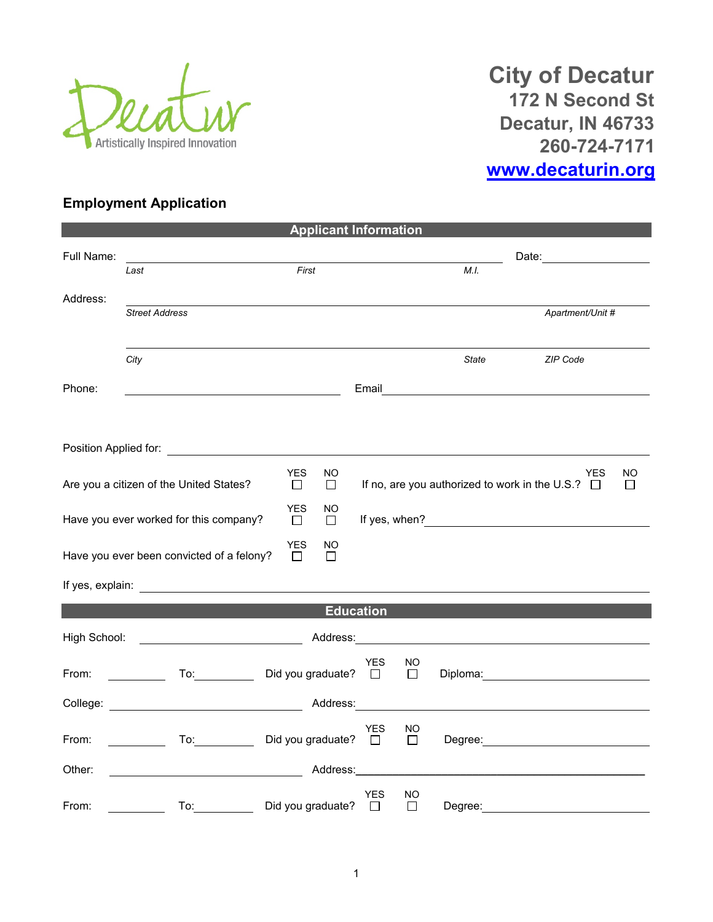

**City of Decatur 172 N Second St Decatur, IN 46733 260-724-7171 [www.decaturin.org](http://www.decaturin.org/)**

## **Employment Application**

|                                                                             |                                                                                                                        |                             | <b>Applicant Information</b> |                       |              |                                                              |                                              |  |  |
|-----------------------------------------------------------------------------|------------------------------------------------------------------------------------------------------------------------|-----------------------------|------------------------------|-----------------------|--------------|--------------------------------------------------------------|----------------------------------------------|--|--|
| Full Name:                                                                  |                                                                                                                        |                             |                              |                       |              |                                                              | Date: <u>_________</u>                       |  |  |
|                                                                             | Last                                                                                                                   | First                       |                              |                       |              | M.I.                                                         |                                              |  |  |
| Address:                                                                    | <b>Street Address</b>                                                                                                  |                             |                              |                       |              |                                                              | Apartment/Unit #                             |  |  |
|                                                                             | City                                                                                                                   |                             |                              |                       |              | <b>State</b>                                                 | ZIP Code                                     |  |  |
| Phone:                                                                      |                                                                                                                        |                             |                              |                       |              |                                                              | Email <u>_______________________________</u> |  |  |
|                                                                             |                                                                                                                        |                             |                              |                       |              |                                                              |                                              |  |  |
|                                                                             |                                                                                                                        |                             |                              |                       |              |                                                              |                                              |  |  |
| <b>YES</b><br>NO.<br>Are you a citizen of the United States?<br>$\Box$<br>П |                                                                                                                        |                             |                              |                       |              | YES<br>If no, are you authorized to work in the U.S.? $\Box$ | <b>NO</b><br>$\Box$                          |  |  |
| <b>YES</b><br>Have you ever worked for this company?<br>$\Box$              |                                                                                                                        |                             | <sub>NO</sub><br>П           |                       |              |                                                              |                                              |  |  |
|                                                                             | Have you ever been convicted of a felony?                                                                              | <b>YES</b><br>$\Box$        | NO<br>П                      |                       |              |                                                              |                                              |  |  |
|                                                                             |                                                                                                                        |                             |                              |                       |              |                                                              |                                              |  |  |
|                                                                             |                                                                                                                        |                             | <b>Education</b>             |                       |              |                                                              |                                              |  |  |
| High School:                                                                | Address:                                                                                                               |                             |                              |                       |              |                                                              |                                              |  |  |
| From:                                                                       | $\mathsf{To:}\qquad \qquad \qquad$                                                                                     | Did you graduate? $\square$ |                              | <b>YES</b>            | NO<br>$\Box$ |                                                              | Diploma: <u>___________________</u>          |  |  |
|                                                                             |                                                                                                                        |                             | Address:                     |                       |              |                                                              |                                              |  |  |
| From:                                                                       | $\mathcal{L} = \mathcal{L}$                                                                                            | Did you graduate? □         |                              | <b>YES</b>            | NO<br>П      |                                                              |                                              |  |  |
| Other:                                                                      | <u> 1989 - Johann Stoff, deutscher Stoffen und der Stoffen und der Stoffen und der Stoffen und der Stoffen und der</u> |                             | Address:_______              |                       |              |                                                              |                                              |  |  |
| From:                                                                       | To:                                                                                                                    | Did you graduate?           |                              | <b>YES</b><br>$\perp$ | NO<br>□      | Degree:                                                      |                                              |  |  |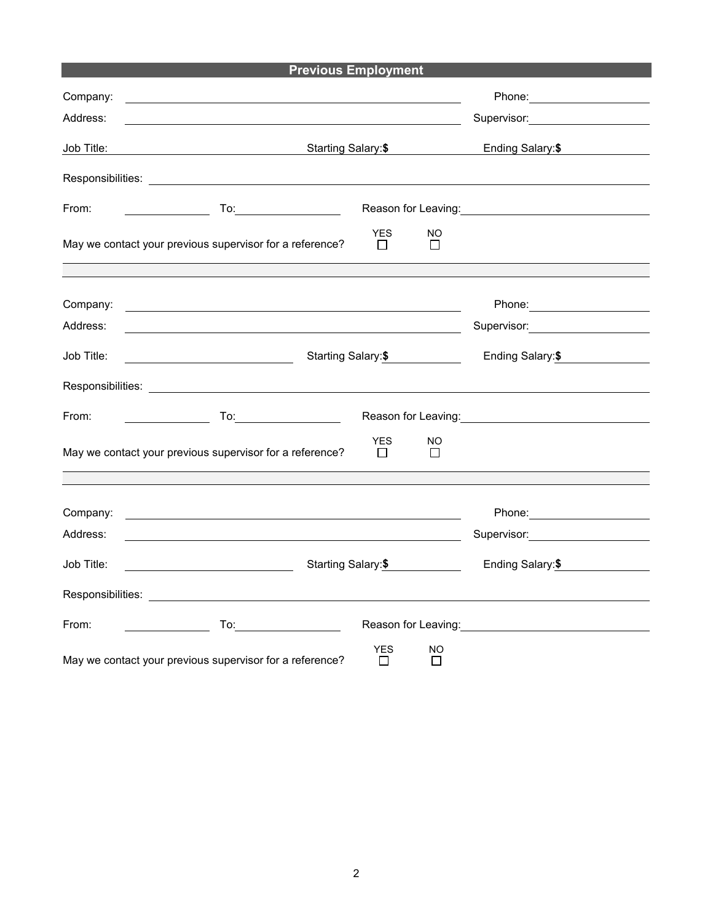## **Previous Employment Previous Employment**

| Company:<br>Address: |                                                                                                                                                                                                                                |                            |          |                                                                                                                  |
|----------------------|--------------------------------------------------------------------------------------------------------------------------------------------------------------------------------------------------------------------------------|----------------------------|----------|------------------------------------------------------------------------------------------------------------------|
| Job Title:           | Starting Salary:\$                                                                                                                                                                                                             | Ending Salary: \$          |          |                                                                                                                  |
|                      | Responsibilities: Letters and the second services of the services of the services of the services of the services of the services of the services of the services of the services of the services of the services of the servi |                            |          |                                                                                                                  |
| From:                |                                                                                                                                                                                                                                |                            |          | Reason for Leaving: Network of Contract of the Reason for Leaving:                                               |
|                      | May we contact your previous supervisor for a reference?                                                                                                                                                                       | <b>YES</b><br>$\Box$       | NO.<br>П |                                                                                                                  |
|                      |                                                                                                                                                                                                                                |                            |          |                                                                                                                  |
| Company:             | <u> 2000 - Jan James James James James James James James James James James James James James James James James J</u>                                                                                                           |                            |          |                                                                                                                  |
| Address:             | <u> 1989 - Johann Barn, fransk politik (d. 1989)</u>                                                                                                                                                                           |                            |          | Supervisor: Victor Control of Control Control Control Control Control Control Control Control Control Control Co |
| Job Title:           | Starting Salary: \$<br><u> 1980 - Johann Barbara, martin a</u>                                                                                                                                                                 | Ending Salary: \$          |          |                                                                                                                  |
|                      |                                                                                                                                                                                                                                |                            |          |                                                                                                                  |
| From:                | To: $\qquad \qquad \qquad$                                                                                                                                                                                                     |                            |          | Reason for Leaving: <u>_________________________</u>                                                             |
|                      | May we contact your previous supervisor for a reference?                                                                                                                                                                       | YES<br>$\Box$              | NO<br>П  |                                                                                                                  |
|                      |                                                                                                                                                                                                                                |                            |          |                                                                                                                  |
| Company:             | <u> 1989 - John Stone, amerikansk politiker (* 1989)</u>                                                                                                                                                                       |                            |          |                                                                                                                  |
| Address:             |                                                                                                                                                                                                                                |                            |          | Supervisor: 2000                                                                                                 |
| Job Title:           | Starting Salary:\$                                                                                                                                                                                                             |                            |          | Ending Salary: \$                                                                                                |
|                      |                                                                                                                                                                                                                                |                            |          |                                                                                                                  |
| From:                |                                                                                                                                                                                                                                |                            |          |                                                                                                                  |
|                      | May we contact your previous supervisor for a reference?                                                                                                                                                                       | <b>YES</b><br>$\mathbf{I}$ | NO.<br>П |                                                                                                                  |